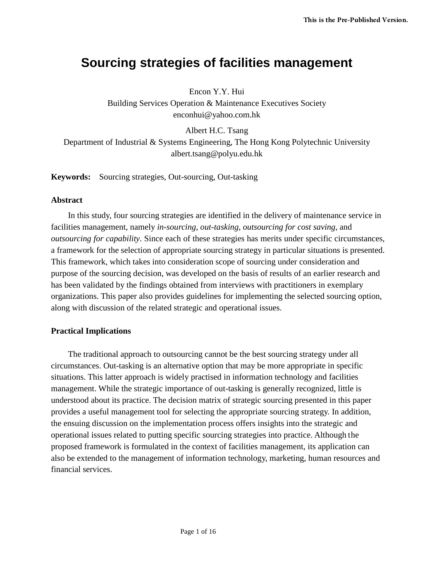# **Sourcing strategies of facilities management**

Encon Y.Y. Hui Building Services Operation & Maintenance Executives Society enconhui@yahoo.com.hk

Albert H.C. Tsang Department of Industrial & Systems Engineering, The Hong Kong Polytechnic University albert.tsang@polyu.edu.hk

**Keywords:** Sourcing strategies, Out-sourcing, Out-tasking

### **Abstract**

In this study, four sourcing strategies are identified in the delivery of maintenance service in facilities management, namely *in-sourcing*, *out-tasking*, *outsourcing for cost saving*, and *outsourcing for capability*. Since each of these strategies has merits under specific circumstances, a framework for the selection of appropriate sourcing strategy in particular situations is presented. This framework, which takes into consideration scope of sourcing under consideration and purpose of the sourcing decision, was developed on the basis of results of an earlier research and has been validated by the findings obtained from interviews with practitioners in exemplary organizations. This paper also provides guidelines for implementing the selected sourcing option, along with discussion of the related strategic and operational issues.

### **Practical Implications**

The traditional approach to outsourcing cannot be the best sourcing strategy under all circumstances. Out-tasking is an alternative option that may be more appropriate in specific situations. This latter approach is widely practised in information technology and facilities management. While the strategic importance of out-tasking is generally recognized, little is understood about its practice. The decision matrix of strategic sourcing presented in this paper provides a useful management tool for selecting the appropriate sourcing strategy. In addition, the ensuing discussion on the implementation process offers insights into the strategic and operational issues related to putting specific sourcing strategies into practice. Although the proposed framework is formulated in the context of facilities management, its application can also be extended to the management of information technology, marketing, human resources and financial services.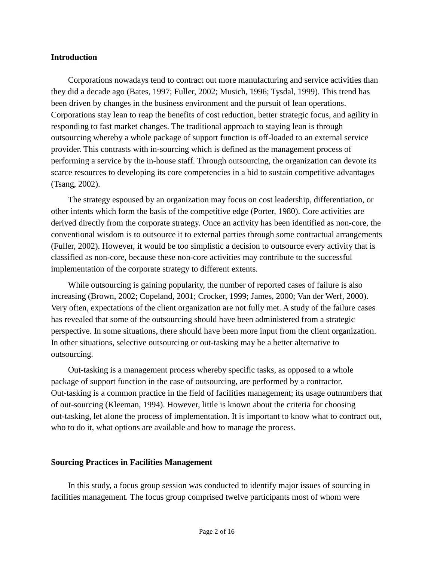#### **Introduction**

Corporations nowadays tend to contract out more manufacturing and service activities than they did a decade ago (Bates, 1997; Fuller, 2002; Musich, 1996; Tysdal, 1999). This trend has been driven by changes in the business environment and the pursuit of lean operations. Corporations stay lean to reap the benefits of cost reduction, better strategic focus, and agility in responding to fast market changes. The traditional approach to staying lean is through outsourcing whereby a whole package of support function is off-loaded to an external service provider. This contrasts with in-sourcing which is defined as the management process of performing a service by the in-house staff. Through outsourcing, the organization can devote its scarce resources to developing its core competencies in a bid to sustain competitive advantages (Tsang, 2002).

The strategy espoused by an organization may focus on cost leadership, differentiation, or other intents which form the basis of the competitive edge (Porter, 1980). Core activities are derived directly from the corporate strategy. Once an activity has been identified as non-core, the conventional wisdom is to outsource it to external parties through some contractual arrangements (Fuller, 2002). However, it would be too simplistic a decision to outsource every activity that is classified as non-core, because these non-core activities may contribute to the successful implementation of the corporate strategy to different extents.

While outsourcing is gaining popularity, the number of reported cases of failure is also increasing (Brown, 2002; Copeland, 2001; Crocker, 1999; James, 2000; Van der Werf, 2000). Very often, expectations of the client organization are not fully met. A study of the failure cases has revealed that some of the outsourcing should have been administered from a strategic perspective. In some situations, there should have been more input from the client organization. In other situations, selective outsourcing or out-tasking may be a better alternative to outsourcing.

Out-tasking is a management process whereby specific tasks, as opposed to a whole package of support function in the case of outsourcing, are performed by a contractor. Out-tasking is a common practice in the field of facilities management; its usage outnumbers that of out-sourcing (Kleeman, 1994). However, little is known about the criteria for choosing out-tasking, let alone the process of implementation. It is important to know what to contract out, who to do it, what options are available and how to manage the process.

#### **Sourcing Practices in Facilities Management**

In this study, a focus group session was conducted to identify major issues of sourcing in facilities management. The focus group comprised twelve participants most of whom were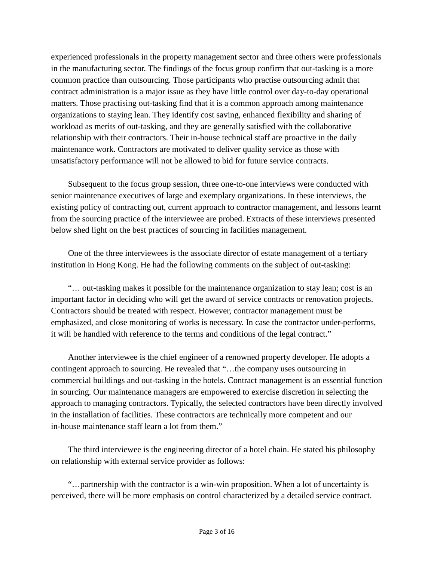experienced professionals in the property management sector and three others were professionals in the manufacturing sector. The findings of the focus group confirm that out-tasking is a more common practice than outsourcing. Those participants who practise outsourcing admit that contract administration is a major issue as they have little control over day-to-day operational matters. Those practising out-tasking find that it is a common approach among maintenance organizations to staying lean. They identify cost saving, enhanced flexibility and sharing of workload as merits of out-tasking, and they are generally satisfied with the collaborative relationship with their contractors. Their in-house technical staff are proactive in the daily maintenance work. Contractors are motivated to deliver quality service as those with unsatisfactory performance will not be allowed to bid for future service contracts.

Subsequent to the focus group session, three one-to-one interviews were conducted with senior maintenance executives of large and exemplary organizations. In these interviews, the existing policy of contracting out, current approach to contractor management, and lessons learnt from the sourcing practice of the interviewee are probed. Extracts of these interviews presented below shed light on the best practices of sourcing in facilities management.

One of the three interviewees is the associate director of estate management of a tertiary institution in Hong Kong. He had the following comments on the subject of out-tasking:

"… out-tasking makes it possible for the maintenance organization to stay lean; cost is an important factor in deciding who will get the award of service contracts or renovation projects. Contractors should be treated with respect. However, contractor management must be emphasized, and close monitoring of works is necessary. In case the contractor under-performs, it will be handled with reference to the terms and conditions of the legal contract."

Another interviewee is the chief engineer of a renowned property developer. He adopts a contingent approach to sourcing. He revealed that "…the company uses outsourcing in commercial buildings and out-tasking in the hotels. Contract management is an essential function in sourcing. Our maintenance managers are empowered to exercise discretion in selecting the approach to managing contractors. Typically, the selected contractors have been directly involved in the installation of facilities. These contractors are technically more competent and our in-house maintenance staff learn a lot from them."

The third interviewee is the engineering director of a hotel chain. He stated his philosophy on relationship with external service provider as follows:

"…partnership with the contractor is a win-win proposition. When a lot of uncertainty is perceived, there will be more emphasis on control characterized by a detailed service contract.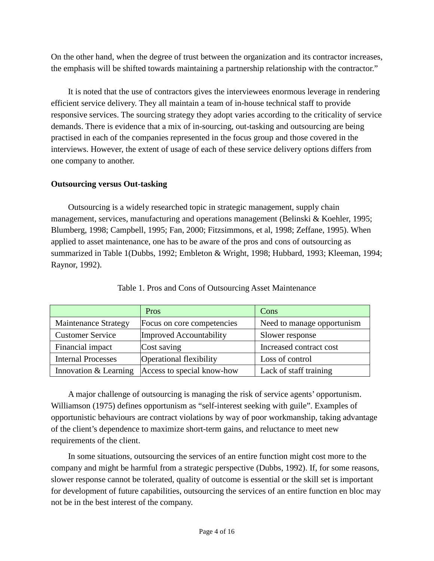On the other hand, when the degree of trust between the organization and its contractor increases, the emphasis will be shifted towards maintaining a partnership relationship with the contractor."

It is noted that the use of contractors gives the interviewees enormous leverage in rendering efficient service delivery. They all maintain a team of in-house technical staff to provide responsive services. The sourcing strategy they adopt varies according to the criticality of service demands. There is evidence that a mix of in-sourcing, out-tasking and outsourcing are being practised in each of the companies represented in the focus group and those covered in the interviews. However, the extent of usage of each of these service delivery options differs from one company to another.

## **Outsourcing versus Out-tasking**

Outsourcing is a widely researched topic in strategic management, supply chain management, services, manufacturing and operations management (Belinski & Koehler, 1995; Blumberg, 1998; Campbell, 1995; Fan, 2000; Fitzsimmons, et al, 1998; Zeffane, 1995). When applied to asset maintenance, one has to be aware of the pros and cons of outsourcing as summarized in Table 1(Dubbs, 1992; Embleton & Wright, 1998; Hubbard, 1993; Kleeman, 1994; Raynor, 1992).

|                             | Pros                       | Cons                       |
|-----------------------------|----------------------------|----------------------------|
| <b>Maintenance Strategy</b> | Focus on core competencies | Need to manage opportunism |
| <b>Customer Service</b>     | Improved Accountability    | Slower response            |
| Financial impact            | Cost saving                | Increased contract cost    |
| <b>Internal Processes</b>   | Operational flexibility    | Loss of control            |
| Innovation & Learning       | Access to special know-how | Lack of staff training     |

Table 1. Pros and Cons of Outsourcing Asset Maintenance

A major challenge of outsourcing is managing the risk of service agents' opportunism. Williamson (1975) defines opportunism as "self-interest seeking with guile". Examples of opportunistic behaviours are contract violations by way of poor workmanship, taking advantage of the client's dependence to maximize short-term gains, and reluctance to meet new requirements of the client.

In some situations, outsourcing the services of an entire function might cost more to the company and might be harmful from a strategic perspective (Dubbs, 1992). If, for some reasons, slower response cannot be tolerated, quality of outcome is essential or the skill set is important for development of future capabilities, outsourcing the services of an entire function en bloc may not be in the best interest of the company.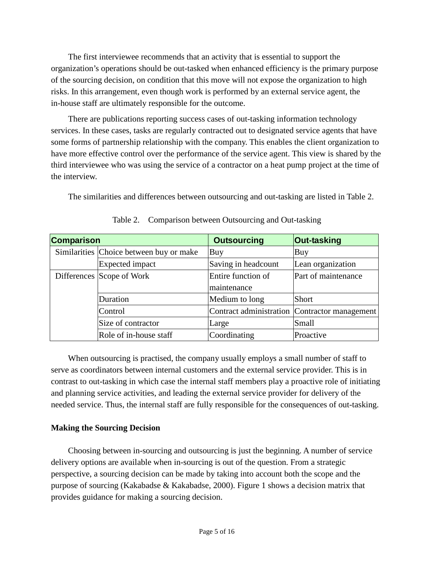The first interviewee recommends that an activity that is essential to support the organization's operations should be out-tasked when enhanced efficiency is the primary purpose of the sourcing decision, on condition that this move will not expose the organization to high risks. In this arrangement, even though work is performed by an external service agent, the in-house staff are ultimately responsible for the outcome.

There are publications reporting success cases of out-tasking information technology services. In these cases, tasks are regularly contracted out to designated service agents that have some forms of partnership relationship with the company. This enables the client organization to have more effective control over the performance of the service agent. This view is shared by the third interviewee who was using the service of a contractor on a heat pump project at the time of the interview.

The similarities and differences between outsourcing and out-tasking are listed in Table 2.

| <b>Comparison</b> |                                         | <b>Outsourcing</b>  | Out-tasking                                   |
|-------------------|-----------------------------------------|---------------------|-----------------------------------------------|
|                   | Similarities Choice between buy or make | Buy                 | Buy                                           |
|                   | <b>Expected</b> impact                  | Saving in headcount | Lean organization                             |
|                   | Differences Scope of Work               | Entire function of  | Part of maintenance                           |
|                   |                                         | maintenance         |                                               |
|                   | Duration                                | Medium to long      | Short                                         |
|                   | Control                                 |                     | Contract administration Contractor management |
|                   | Size of contractor                      | Large               | Small                                         |
|                   | Role of in-house staff                  | Coordinating        | Proactive                                     |

Table 2. Comparison between Outsourcing and Out-tasking

When outsourcing is practised, the company usually employs a small number of staff to serve as coordinators between internal customers and the external service provider. This is in contrast to out-tasking in which case the internal staff members play a proactive role of initiating and planning service activities, and leading the external service provider for delivery of the needed service. Thus, the internal staff are fully responsible for the consequences of out-tasking.

## **Making the Sourcing Decision**

Choosing between in-sourcing and outsourcing is just the beginning. A number of service delivery options are available when in-sourcing is out of the question. From a strategic perspective, a sourcing decision can be made by taking into account both the scope and the purpose of sourcing (Kakabadse & Kakabadse, 2000). Figure 1 shows a decision matrix that provides guidance for making a sourcing decision.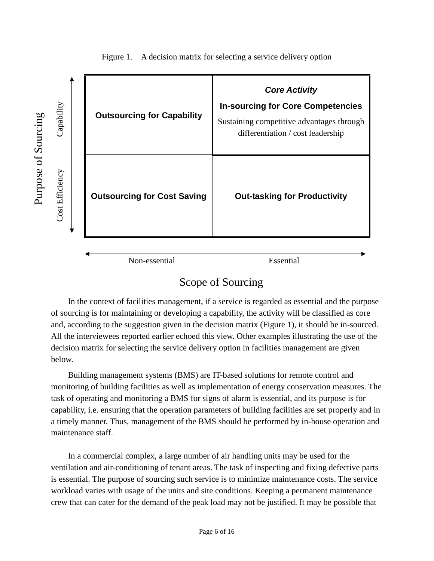

Figure 1. A decision matrix for selecting a service delivery option

## Scope of Sourcing

In the context of facilities management, if a service is regarded as essential and the purpose of sourcing is for maintaining or developing a capability, the activity will be classified as core and, according to the suggestion given in the decision matrix (Figure 1), it should be in-sourced. All the interviewees reported earlier echoed this view. Other examples illustrating the use of the decision matrix for selecting the service delivery option in facilities management are given below.

Building management systems (BMS) are IT-based solutions for remote control and monitoring of building facilities as well as implementation of energy conservation measures. The task of operating and monitoring a BMS for signs of alarm is essential, and its purpose is for capability, i.e. ensuring that the operation parameters of building facilities are set properly and in a timely manner. Thus, management of the BMS should be performed by in-house operation and maintenance staff.

In a commercial complex, a large number of air handling units may be used for the ventilation and air-conditioning of tenant areas. The task of inspecting and fixing defective parts is essential. The purpose of sourcing such service is to minimize maintenance costs. The service workload varies with usage of the units and site conditions. Keeping a permanent maintenance crew that can cater for the demand of the peak load may not be justified. It may be possible that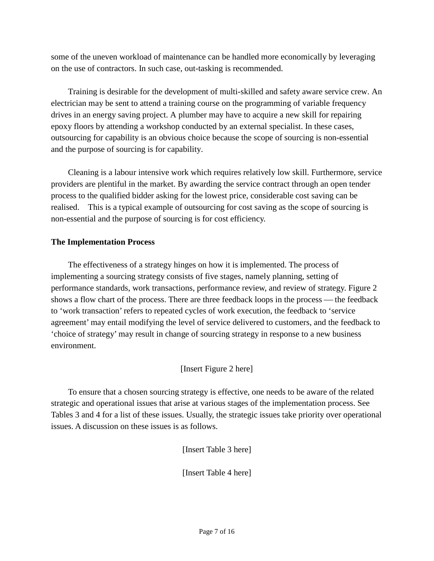some of the uneven workload of maintenance can be handled more economically by leveraging on the use of contractors. In such case, out-tasking is recommended.

Training is desirable for the development of multi-skilled and safety aware service crew. An electrician may be sent to attend a training course on the programming of variable frequency drives in an energy saving project. A plumber may have to acquire a new skill for repairing epoxy floors by attending a workshop conducted by an external specialist. In these cases, outsourcing for capability is an obvious choice because the scope of sourcing is non-essential and the purpose of sourcing is for capability.

Cleaning is a labour intensive work which requires relatively low skill. Furthermore, service providers are plentiful in the market. By awarding the service contract through an open tender process to the qualified bidder asking for the lowest price, considerable cost saving can be realised. This is a typical example of outsourcing for cost saving as the scope of sourcing is non-essential and the purpose of sourcing is for cost efficiency.

## **The Implementation Process**

The effectiveness of a strategy hinges on how it is implemented. The process of implementing a sourcing strategy consists of five stages, namely planning, setting of performance standards, work transactions, performance review, and review of strategy. Figure 2 shows a flow chart of the process. There are three feedback loops in the process — the feedback to 'work transaction' refers to repeated cycles of work execution, the feedback to 'service agreement' may entail modifying the level of service delivered to customers, and the feedback to 'choice of strategy' may result in change of sourcing strategy in response to a new business environment.

## [Insert Figure 2 here]

To ensure that a chosen sourcing strategy is effective, one needs to be aware of the related strategic and operational issues that arise at various stages of the implementation process. See Tables 3 and 4 for a list of these issues. Usually, the strategic issues take priority over operational issues. A discussion on these issues is as follows.

[Insert Table 3 here]

[Insert Table 4 here]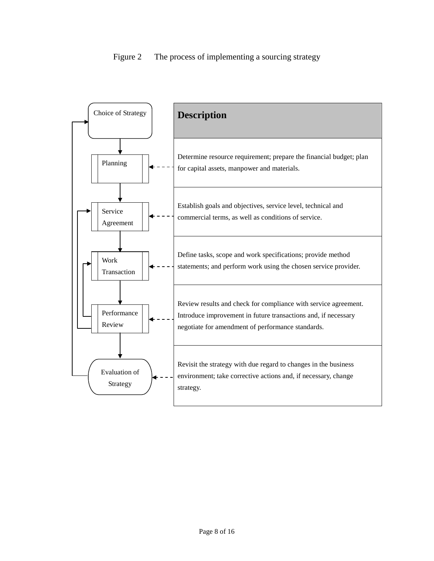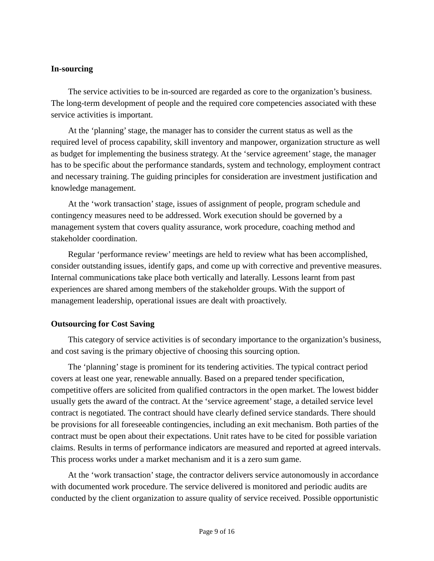## **In-sourcing**

The service activities to be in-sourced are regarded as core to the organization's business. The long-term development of people and the required core competencies associated with these service activities is important.

At the 'planning' stage, the manager has to consider the current status as well as the required level of process capability, skill inventory and manpower, organization structure as well as budget for implementing the business strategy. At the 'service agreement' stage, the manager has to be specific about the performance standards, system and technology, employment contract and necessary training. The guiding principles for consideration are investment justification and knowledge management.

At the 'work transaction' stage, issues of assignment of people, program schedule and contingency measures need to be addressed. Work execution should be governed by a management system that covers quality assurance, work procedure, coaching method and stakeholder coordination.

Regular 'performance review' meetings are held to review what has been accomplished, consider outstanding issues, identify gaps, and come up with corrective and preventive measures. Internal communications take place both vertically and laterally. Lessons learnt from past experiences are shared among members of the stakeholder groups. With the support of management leadership, operational issues are dealt with proactively.

### **Outsourcing for Cost Saving**

This category of service activities is of secondary importance to the organization's business, and cost saving is the primary objective of choosing this sourcing option.

The 'planning' stage is prominent for its tendering activities. The typical contract period covers at least one year, renewable annually. Based on a prepared tender specification, competitive offers are solicited from qualified contractors in the open market. The lowest bidder usually gets the award of the contract. At the 'service agreement' stage, a detailed service level contract is negotiated. The contract should have clearly defined service standards. There should be provisions for all foreseeable contingencies, including an exit mechanism. Both parties of the contract must be open about their expectations. Unit rates have to be cited for possible variation claims. Results in terms of performance indicators are measured and reported at agreed intervals. This process works under a market mechanism and it is a zero sum game.

At the 'work transaction' stage, the contractor delivers service autonomously in accordance with documented work procedure. The service delivered is monitored and periodic audits are conducted by the client organization to assure quality of service received. Possible opportunistic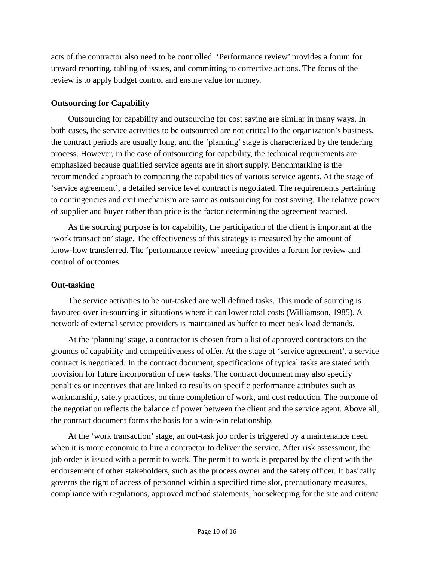acts of the contractor also need to be controlled. 'Performance review' provides a forum for upward reporting, tabling of issues, and committing to corrective actions. The focus of the review is to apply budget control and ensure value for money.

## **Outsourcing for Capability**

Outsourcing for capability and outsourcing for cost saving are similar in many ways. In both cases, the service activities to be outsourced are not critical to the organization's business, the contract periods are usually long, and the 'planning' stage is characterized by the tendering process. However, in the case of outsourcing for capability, the technical requirements are emphasized because qualified service agents are in short supply. Benchmarking is the recommended approach to comparing the capabilities of various service agents. At the stage of 'service agreement', a detailed service level contract is negotiated. The requirements pertaining to contingencies and exit mechanism are same as outsourcing for cost saving. The relative power of supplier and buyer rather than price is the factor determining the agreement reached.

As the sourcing purpose is for capability, the participation of the client is important at the 'work transaction' stage. The effectiveness of this strategy is measured by the amount of know-how transferred. The 'performance review' meeting provides a forum for review and control of outcomes.

## **Out-tasking**

The service activities to be out-tasked are well defined tasks. This mode of sourcing is favoured over in-sourcing in situations where it can lower total costs (Williamson, 1985). A network of external service providers is maintained as buffer to meet peak load demands.

At the 'planning' stage, a contractor is chosen from a list of approved contractors on the grounds of capability and competitiveness of offer. At the stage of 'service agreement', a service contract is negotiated. In the contract document, specifications of typical tasks are stated with provision for future incorporation of new tasks. The contract document may also specify penalties or incentives that are linked to results on specific performance attributes such as workmanship, safety practices, on time completion of work, and cost reduction. The outcome of the negotiation reflects the balance of power between the client and the service agent. Above all, the contract document forms the basis for a win-win relationship.

At the 'work transaction' stage, an out-task job order is triggered by a maintenance need when it is more economic to hire a contractor to deliver the service. After risk assessment, the job order is issued with a permit to work. The permit to work is prepared by the client with the endorsement of other stakeholders, such as the process owner and the safety officer. It basically governs the right of access of personnel within a specified time slot, precautionary measures, compliance with regulations, approved method statements, housekeeping for the site and criteria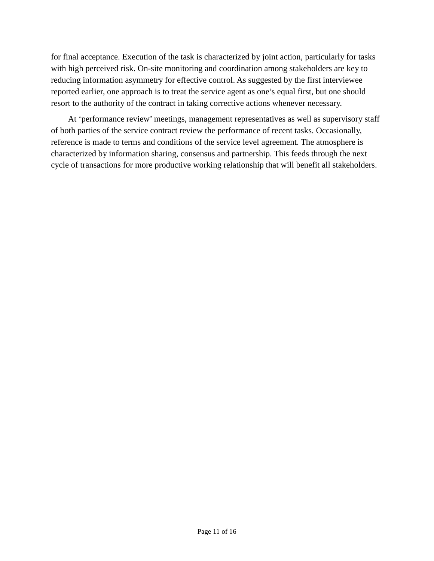for final acceptance. Execution of the task is characterized by joint action, particularly for tasks with high perceived risk. On-site monitoring and coordination among stakeholders are key to reducing information asymmetry for effective control. As suggested by the first interviewee reported earlier, one approach is to treat the service agent as one's equal first, but one should resort to the authority of the contract in taking corrective actions whenever necessary.

At 'performance review' meetings, management representatives as well as supervisory staff of both parties of the service contract review the performance of recent tasks. Occasionally, reference is made to terms and conditions of the service level agreement. The atmosphere is characterized by information sharing, consensus and partnership. This feeds through the next cycle of transactions for more productive working relationship that will benefit all stakeholders.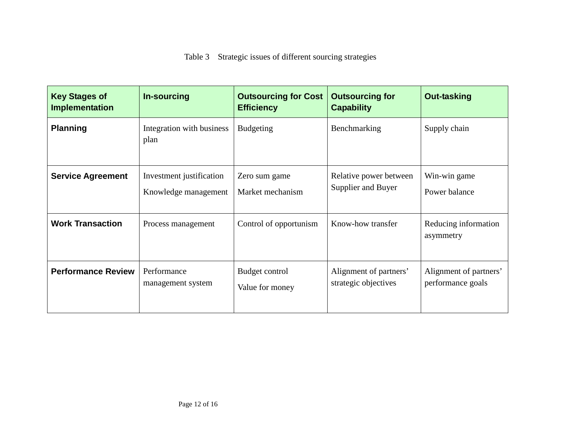| <b>Key Stages of</b><br>Implementation | In-sourcing                                      | <b>Outsourcing for Cost</b><br><b>Efficiency</b> | <b>Outsourcing for</b><br><b>Capability</b>    | <b>Out-tasking</b>                          |
|----------------------------------------|--------------------------------------------------|--------------------------------------------------|------------------------------------------------|---------------------------------------------|
| <b>Planning</b>                        | Integration with business<br>plan                | <b>Budgeting</b>                                 | Benchmarking                                   | Supply chain                                |
| <b>Service Agreement</b>               | Investment justification<br>Knowledge management | Zero sum game<br>Market mechanism                | Relative power between<br>Supplier and Buyer   | Win-win game<br>Power balance               |
| <b>Work Transaction</b>                | Process management                               | Control of opportunism                           | Know-how transfer                              | Reducing information<br>asymmetry           |
| <b>Performance Review</b>              | Performance<br>management system                 | Budget control<br>Value for money                | Alignment of partners'<br>strategic objectives | Alignment of partners'<br>performance goals |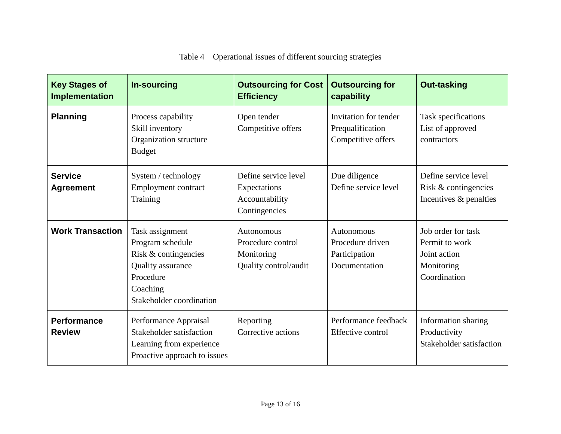| <b>Key Stages of</b><br><b>Implementation</b> | In-sourcing                                                                                                                           | <b>Outsourcing for Cost</b><br><b>Efficiency</b>                        | <b>Outsourcing for</b><br>capability                             | <b>Out-tasking</b>                                                                 |
|-----------------------------------------------|---------------------------------------------------------------------------------------------------------------------------------------|-------------------------------------------------------------------------|------------------------------------------------------------------|------------------------------------------------------------------------------------|
| <b>Planning</b>                               | Process capability<br>Skill inventory<br>Organization structure<br><b>Budget</b>                                                      | Open tender<br>Competitive offers                                       | Invitation for tender<br>Prequalification<br>Competitive offers  | Task specifications<br>List of approved<br>contractors                             |
| <b>Service</b><br><b>Agreement</b>            | System / technology<br>Employment contract<br>Training                                                                                | Define service level<br>Expectations<br>Accountability<br>Contingencies | Due diligence<br>Define service level                            | Define service level<br>Risk & contingencies<br>Incentives & penalties             |
| <b>Work Transaction</b>                       | Task assignment<br>Program schedule<br>Risk & contingencies<br>Quality assurance<br>Procedure<br>Coaching<br>Stakeholder coordination | Autonomous<br>Procedure control<br>Monitoring<br>Quality control/audit  | Autonomous<br>Procedure driven<br>Participation<br>Documentation | Job order for task<br>Permit to work<br>Joint action<br>Monitoring<br>Coordination |
| <b>Performance</b><br><b>Review</b>           | Performance Appraisal<br>Stakeholder satisfaction<br>Learning from experience<br>Proactive approach to issues                         | Reporting<br>Corrective actions                                         | Performance feedback<br><b>Effective control</b>                 | <b>Information sharing</b><br>Productivity<br>Stakeholder satisfaction             |

## Table 4 Operational issues of different sourcing strategies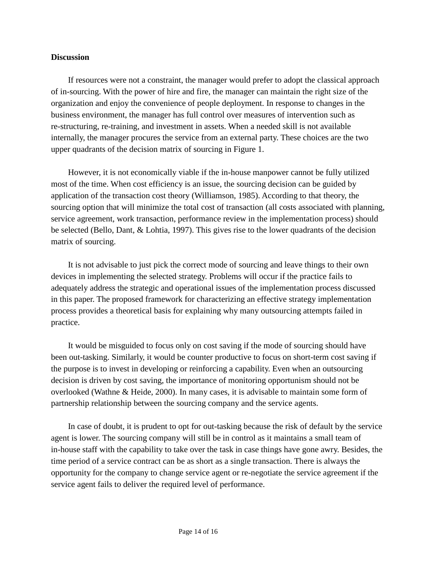#### **Discussion**

If resources were not a constraint, the manager would prefer to adopt the classical approach of in-sourcing. With the power of hire and fire, the manager can maintain the right size of the organization and enjoy the convenience of people deployment. In response to changes in the business environment, the manager has full control over measures of intervention such as re-structuring, re-training, and investment in assets. When a needed skill is not available internally, the manager procures the service from an external party. These choices are the two upper quadrants of the decision matrix of sourcing in Figure 1.

However, it is not economically viable if the in-house manpower cannot be fully utilized most of the time. When cost efficiency is an issue, the sourcing decision can be guided by application of the transaction cost theory (Williamson, 1985). According to that theory, the sourcing option that will minimize the total cost of transaction (all costs associated with planning, service agreement, work transaction, performance review in the implementation process) should be selected (Bello, Dant, & Lohtia, 1997). This gives rise to the lower quadrants of the decision matrix of sourcing.

It is not advisable to just pick the correct mode of sourcing and leave things to their own devices in implementing the selected strategy. Problems will occur if the practice fails to adequately address the strategic and operational issues of the implementation process discussed in this paper. The proposed framework for characterizing an effective strategy implementation process provides a theoretical basis for explaining why many outsourcing attempts failed in practice.

It would be misguided to focus only on cost saving if the mode of sourcing should have been out-tasking. Similarly, it would be counter productive to focus on short-term cost saving if the purpose is to invest in developing or reinforcing a capability. Even when an outsourcing decision is driven by cost saving, the importance of monitoring opportunism should not be overlooked (Wathne & Heide, 2000). In many cases, it is advisable to maintain some form of partnership relationship between the sourcing company and the service agents.

In case of doubt, it is prudent to opt for out-tasking because the risk of default by the service agent is lower. The sourcing company will still be in control as it maintains a small team of in-house staff with the capability to take over the task in case things have gone awry. Besides, the time period of a service contract can be as short as a single transaction. There is always the opportunity for the company to change service agent or re-negotiate the service agreement if the service agent fails to deliver the required level of performance.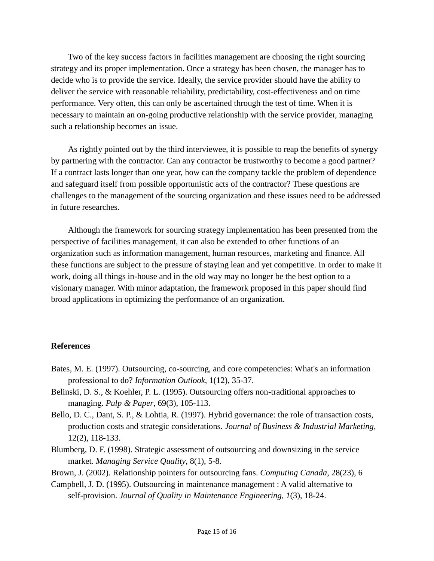Two of the key success factors in facilities management are choosing the right sourcing strategy and its proper implementation. Once a strategy has been chosen, the manager has to decide who is to provide the service. Ideally, the service provider should have the ability to deliver the service with reasonable reliability, predictability, cost-effectiveness and on time performance. Very often, this can only be ascertained through the test of time. When it is necessary to maintain an on-going productive relationship with the service provider, managing such a relationship becomes an issue.

As rightly pointed out by the third interviewee, it is possible to reap the benefits of synergy by partnering with the contractor. Can any contractor be trustworthy to become a good partner? If a contract lasts longer than one year, how can the company tackle the problem of dependence and safeguard itself from possible opportunistic acts of the contractor? These questions are challenges to the management of the sourcing organization and these issues need to be addressed in future researches.

Although the framework for sourcing strategy implementation has been presented from the perspective of facilities management, it can also be extended to other functions of an organization such as information management, human resources, marketing and finance. All these functions are subject to the pressure of staying lean and yet competitive. In order to make it work, doing all things in-house and in the old way may no longer be the best option to a visionary manager. With minor adaptation, the framework proposed in this paper should find broad applications in optimizing the performance of an organization.

#### **References**

- Bates, M. E. (1997). Outsourcing, co-sourcing, and core competencies: What's an information professional to do? *Information Outlook*, 1(12), 35-37.
- Belinski, D. S., & Koehler, P. L. (1995). Outsourcing offers non-traditional approaches to managing. *Pulp & Paper*, 69(3), 105-113.
- Bello, D. C., Dant, S. P., & Lohtia, R. (1997). Hybrid governance: the role of transaction costs, production costs and strategic considerations. *Journal of Business & Industrial Marketing,*  12(2), 118-133.
- Blumberg, D. F. (1998). Strategic assessment of outsourcing and downsizing in the service market. *Managing Service Quality*, 8(1), 5-8.
- Brown, J. (2002). Relationship pointers for outsourcing fans. *Computing Canada*, 28(23), 6
- Campbell, J. D. (1995). Outsourcing in maintenance management : A valid alternative to self-provision. *Journal of Quality in Maintenance Engineering, 1*(3), 18-24.